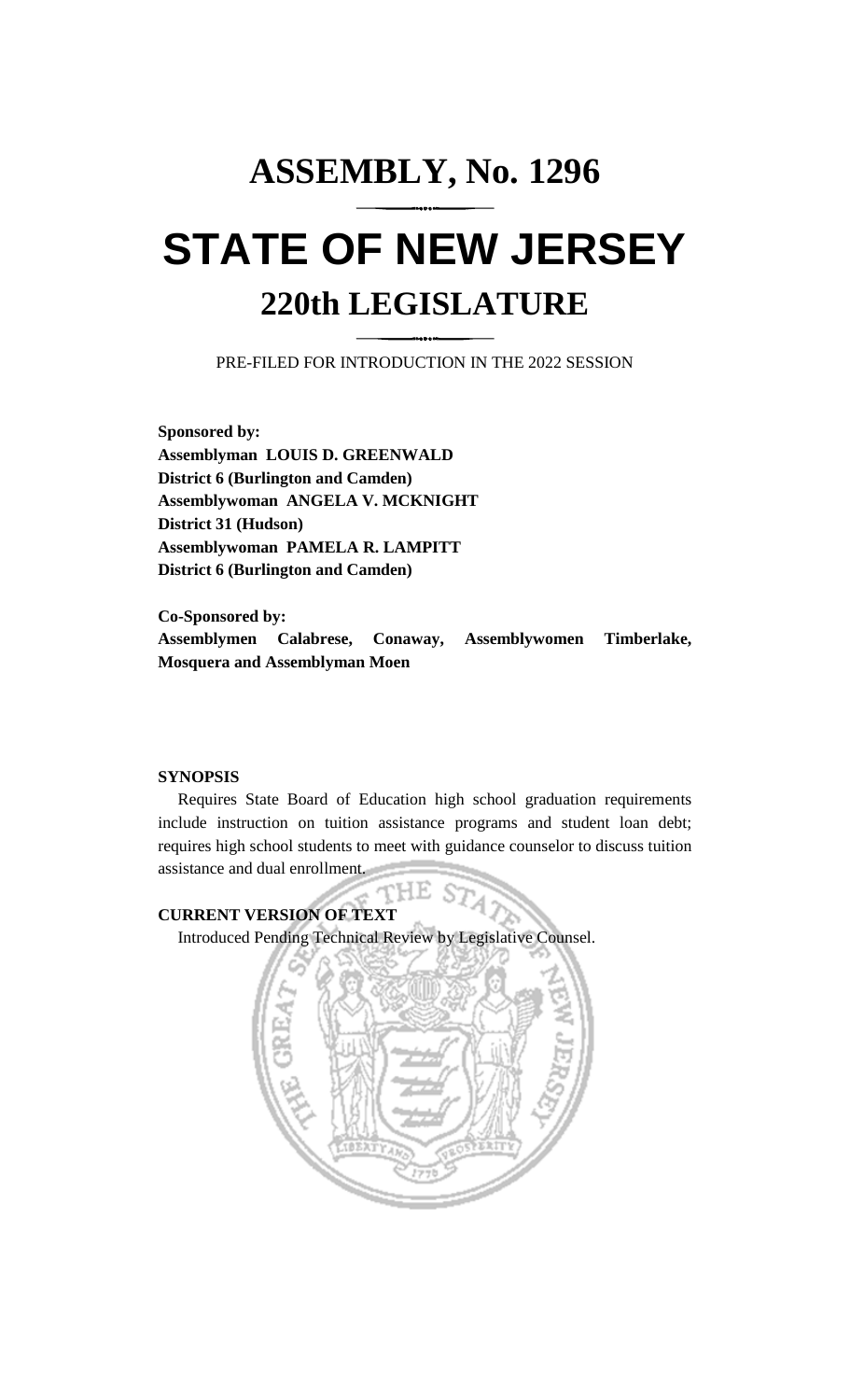# **ASSEMBLY, No. 1296 STATE OF NEW JERSEY 220th LEGISLATURE**

PRE-FILED FOR INTRODUCTION IN THE 2022 SESSION

**Sponsored by: Assemblyman LOUIS D. GREENWALD District 6 (Burlington and Camden) Assemblywoman ANGELA V. MCKNIGHT District 31 (Hudson) Assemblywoman PAMELA R. LAMPITT District 6 (Burlington and Camden)**

**Co-Sponsored by: Assemblymen Calabrese, Conaway, Assemblywomen Timberlake, Mosquera and Assemblyman Moen**

### **SYNOPSIS**

Requires State Board of Education high school graduation requirements include instruction on tuition assistance programs and student loan debt; requires high school students to meet with guidance counselor to discuss tuition assistance and dual enrollment.

HE S7 **CURRENT VERSION OF TEXT**  Introduced Pending Technical Review by Legislative Counsel.

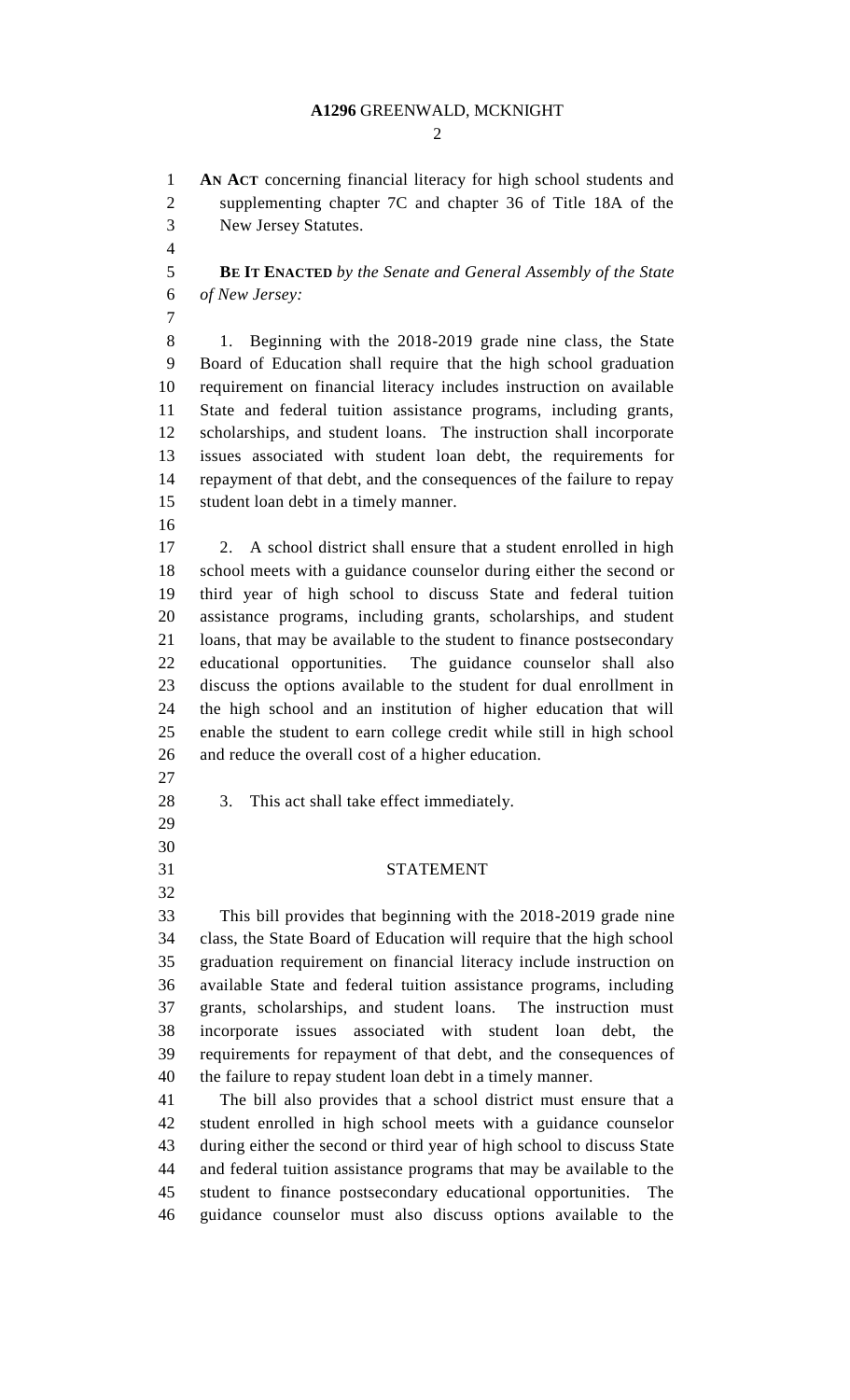#### **A1296** GREENWALD, MCKNIGHT

 $\mathcal{D}_{\mathcal{L}}$ 

 **AN ACT** concerning financial literacy for high school students and supplementing chapter 7C and chapter 36 of Title 18A of the New Jersey Statutes.

 **BE IT ENACTED** *by the Senate and General Assembly of the State of New Jersey:*

 1. Beginning with the 2018-2019 grade nine class, the State Board of Education shall require that the high school graduation requirement on financial literacy includes instruction on available State and federal tuition assistance programs, including grants, scholarships, and student loans. The instruction shall incorporate issues associated with student loan debt, the requirements for repayment of that debt, and the consequences of the failure to repay student loan debt in a timely manner.

 2. A school district shall ensure that a student enrolled in high school meets with a guidance counselor during either the second or third year of high school to discuss State and federal tuition assistance programs, including grants, scholarships, and student loans, that may be available to the student to finance postsecondary educational opportunities. The guidance counselor shall also discuss the options available to the student for dual enrollment in the high school and an institution of higher education that will enable the student to earn college credit while still in high school and reduce the overall cost of a higher education.

- 
- 3. This act shall take effect immediately.
- 

## STATEMENT

 This bill provides that beginning with the 2018-2019 grade nine class, the State Board of Education will require that the high school graduation requirement on financial literacy include instruction on available State and federal tuition assistance programs, including grants, scholarships, and student loans. The instruction must incorporate issues associated with student loan debt, the requirements for repayment of that debt, and the consequences of the failure to repay student loan debt in a timely manner.

 The bill also provides that a school district must ensure that a student enrolled in high school meets with a guidance counselor during either the second or third year of high school to discuss State and federal tuition assistance programs that may be available to the student to finance postsecondary educational opportunities. The guidance counselor must also discuss options available to the